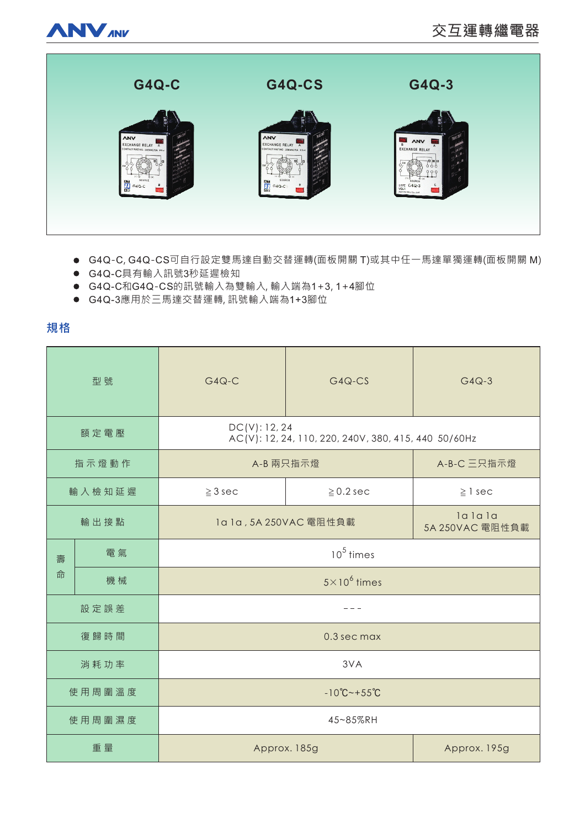



- G4Q-C, G4Q-CS可自行設定雙馬達自動交替運轉(面板開關 T)或其中任一馬達單獨運轉(面板開關 M)
- G4Q-C具有輸入訊號3秒延遲檢知
- G4Q-C和G4Q-CS的訊號輸入為雙輸入,輸入端為1+3,1+4腳位
- G4Q-3應用於三馬達交替運轉, 訊號輸入端為1+3腳位

**規格** 

| 型號     |    | $G4Q-C$                                                               | $G4Q-CS$       | $G4Q-3$                   |
|--------|----|-----------------------------------------------------------------------|----------------|---------------------------|
| 額定電壓   |    | DC(V): 12, 24<br>AC(V): 12, 24, 110, 220, 240V, 380, 415, 440 50/60Hz |                |                           |
| 指示燈動作  |    | A-B 兩只指示燈                                                             |                | A-B-C 三只指示燈               |
| 輸入檢知延遲 |    | $\geq 3$ sec                                                          | $\geq$ 0.2 sec | $\geq$ 1 sec              |
| 輸出接點   |    | 1a 1a, 5A 250VAC 電阻性負載                                                |                | lalala<br>5A 250VAC 電阻性負載 |
| 壽<br>命 | 電氣 | $105$ times                                                           |                |                           |
|        | 機械 | $5 \times 10^6$ times                                                 |                |                           |
| 設定誤差   |    |                                                                       |                |                           |
| 復歸時間   |    | 0.3 sec max                                                           |                |                           |
| 消耗功率   |    | 3VA                                                                   |                |                           |
| 使用周圍溫度 |    | $-10^{\circ}C - +55^{\circ}C$                                         |                |                           |
| 使用周圍濕度 |    | 45~85%RH                                                              |                |                           |
| 重量     |    | Approx. 185g                                                          |                | Approx. 195g              |